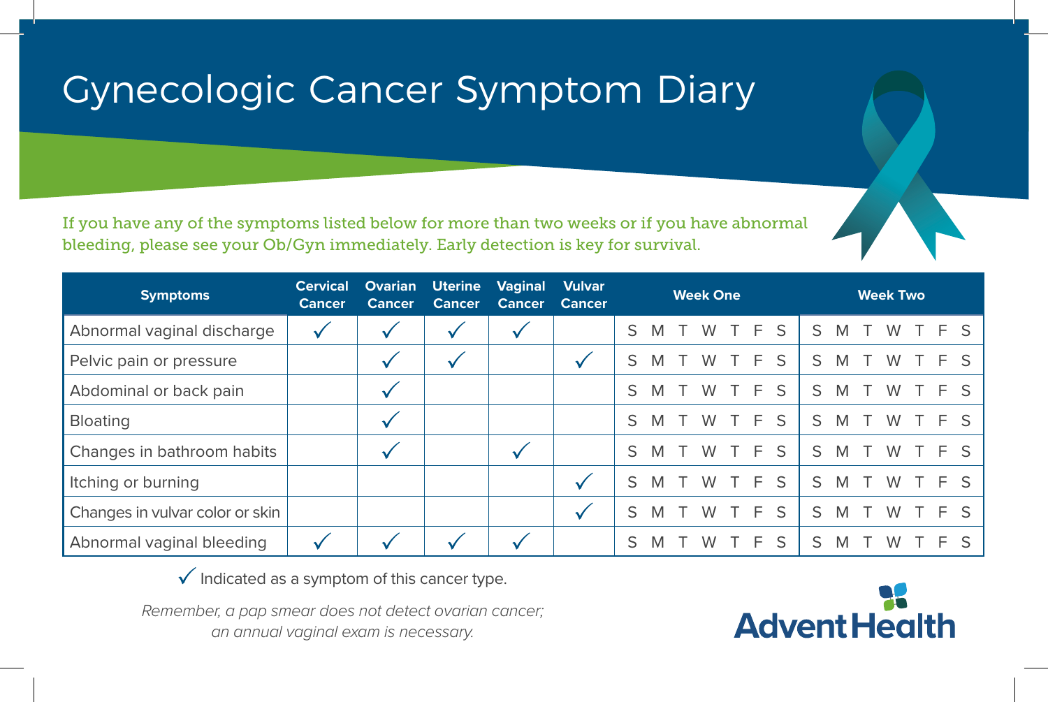## Gynecologic Cancer Symptom Diary

If you have any of the symptoms listed below for more than two weeks or if you have abnormal bleeding, please see your Ob/Gyn immediately. Early detection is key for survival.

| <b>Symptoms</b>                 | <b>Cervical</b><br><b>Cancer</b> | <b>Ovarian</b><br><b>Cancer</b> | <b>Uterine</b><br><b>Cancer</b> | <b>Vaginal</b><br><b>Cancer</b> | <b>Vulvar</b><br><b>Cancer</b> | <b>Week One</b> |   |  |   |  |       |   | <b>Week Two</b> |   |  |   |  |     |     |
|---------------------------------|----------------------------------|---------------------------------|---------------------------------|---------------------------------|--------------------------------|-----------------|---|--|---|--|-------|---|-----------------|---|--|---|--|-----|-----|
| Abnormal vaginal discharge      |                                  |                                 | $\checkmark$                    |                                 |                                | S               | M |  | W |  | T F S |   | S               | M |  | W |  | TFS |     |
| Pelvic pain or pressure         |                                  | v                               | v                               |                                 |                                | S               | M |  | W |  | F.    | S | S               | M |  | W |  |     | F S |
| Abdominal or back pain          |                                  |                                 |                                 |                                 |                                | S               | M |  | W |  | E     | S | S               | M |  | W |  |     | F S |
| <b>Bloating</b>                 |                                  |                                 |                                 |                                 |                                | S               | M |  | W |  | F.    | S | S               | M |  | W |  | F S |     |
| Changes in bathroom habits      |                                  |                                 |                                 |                                 |                                | S               | M |  | W |  | F.    | S | S               | M |  | W |  |     | F S |
| Itching or burning              |                                  |                                 |                                 |                                 |                                | S               | M |  | W |  | F.    | S | S.              | M |  | W |  | F S |     |
| Changes in vulvar color or skin |                                  |                                 |                                 |                                 | √                              | S               | M |  | W |  | F.    | S | S               | M |  | W |  |     | F S |
| Abnormal vaginal bleeding       |                                  |                                 |                                 |                                 |                                | S               | M |  | W |  | E     | S | S               | M |  | W |  |     | F S |

 $\checkmark$  Indicated as a symptom of this cancer type.

*Remember, a pap smear does not detect ovarian cancer; an annual vaginal exam is necessary.*